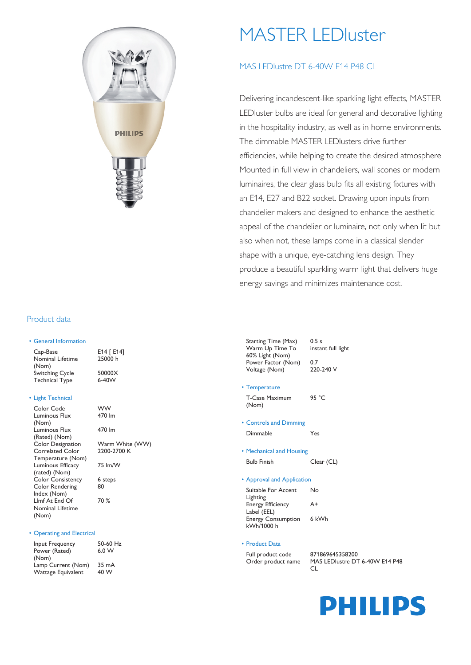

# MASTER LEDluster

## MAS LEDlustre DT 6-40W F14 P48 CL

Delivering incandescent-like sparkling light effects, MASTER LEDluster bulbs are ideal for general and decorative lighting in the hospitality industry, as well as in home environments. The dimmable MASTER LEDlusters drive further efficiencies, while helping to create the desired atmosphere Mounted in full view in chandeliers, wall scones or modern luminaires, the clear glass bulb fits all existing fixtures with an E14, E27 and B22 socket. Drawing upon inputs from chandelier makers and designed to enhance the aesthetic appeal of the chandelier or luminaire, not only when lit but also when not, these lamps come in a classical slender shape with a unique, eye-catching lens design. They produce a beautiful sparkling warm light that delivers huge energy savings and minimizes maintenance cost.

#### Product data

| • General Information        |                         |
|------------------------------|-------------------------|
| Cap-Base<br>Nominal Lifetime | E14 $\Gamma$ E<br>25000 |
| (Nom)                        |                         |
| <b>Switching Cycle</b>       | 500002                  |
| <b>Technical Type</b>        | 6-40W                   |

E14 [ E14] 25000 h  $50000X$ 

#### • Light Technical

| Color Code               | ww              |
|--------------------------|-----------------|
| Luminous Flux            | 470 lm          |
| (Nom)                    |                 |
| Luminous Flux            | 470 lm          |
| (Rated) (Nom)            |                 |
| <b>Color Designation</b> | Warm White (WW) |
| Correlated Color         | 2200-2700 K     |
| Temperature (Nom)        |                 |
| Luminous Efficacy        | 75 lm/W         |
| (rated) (Nom)            |                 |
| <b>Color Consistency</b> | 6 steps         |
| Color Rendering          | 80              |
| Index (Nom)              |                 |
| Llmf At End Of           | 70 %            |
| Nominal Lifetime         |                 |
| (Nom)                    |                 |
|                          |                 |

#### • Operating and Electrical

| Input Frequency           | 50-60 Hz |
|---------------------------|----------|
| Power (Rated)             | 6.0 W    |
| (Nom)                     |          |
| Lamp Current (Nom)        | 35 mA    |
| <b>Wattage Equivalent</b> | 40 W     |

| <b>WW</b><br>470 lm            |
|--------------------------------|
| 470 lm                         |
| Warm White (WW)<br>2200-2700 K |
| 75 lm/W                        |

| <b>Starting Time (Max)</b> | 0.5s      |
|----------------------------|-----------|
| Warm Up Time To            | instal    |
| 60% Light (Nom)            |           |
| Power Factor (Nom)         | 0.7       |
| Voltage (Nom)              | $220 - 2$ |

# instant full light 220-240 V

• Temperature

T-Case Maximum (Nom) 95 °C

- Controls and Dimming Dimmable Yes
- Mechanical and Housing

Bulb Finish Clear (CL)

- Approval and Application
- Suitable For Accent Lighting No Energy Efficiency Label (EEL)  $A+$ Energy Consumption 6 kWh kWh/1000 h

#### • Product Data

Full product code 871869645358200

Order product name MAS LEDlustre DT 6-40W E14 P48  $\cap$